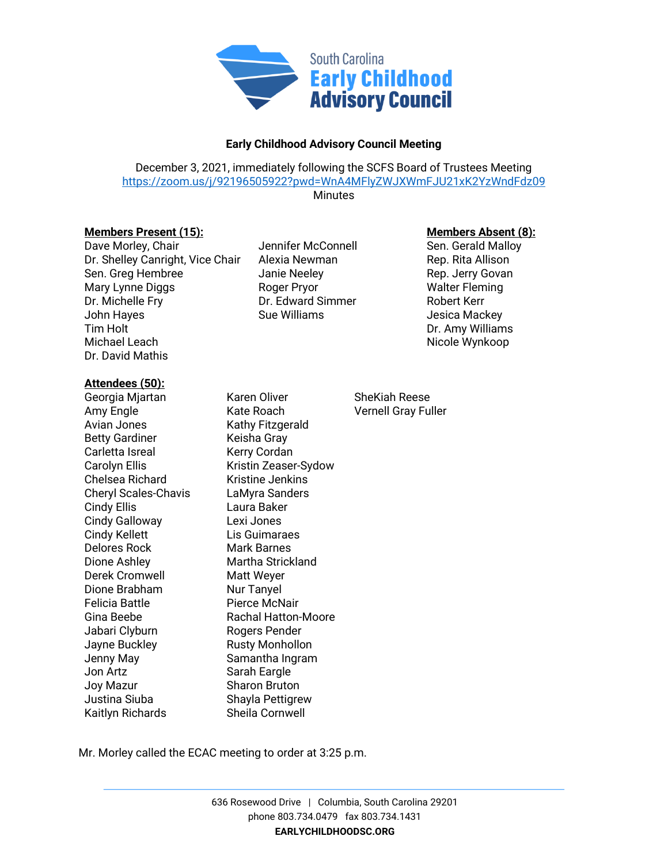

## **Early Childhood Advisory Council Meeting**

December 3, 2021, immediately following the SCFS Board of Trustees Meeting <https://zoom.us/j/92196505922?pwd=WnA4MFlyZWJXWmFJU21xK2YzWndFdz09> **Minutes** 

**Members Present (15): Members Absent (8):**

Dave Morley, Chair **Internal Sen. Connell** Sen. Gerald Malloy Dr. Shelley Canright, Vice Chair Alexia Newman Rep. Rita Allison Sen. Greg Hembree The State Meeley The State Covan Rep. Jerry Govan Mary Lynne Diggs **Roger Pryor** Roger Pryor Walter Fleming Dr. Michelle Fry **Dr. Edward Simmer** Robert Kerr John Hayes **Sue Williams** Jesica Mackey Tim Holt Dr. Amy Williams Michael Leach **Nicole Wynkoop** Dr. David Mathis

## **Attendees (50):**

Georgia Mjartan Karen Oliver SheKiah Reese Amy Engle The Kate Roach Communist Construction Vernell Gray Fuller Avian Jones Kathy Fitzgerald Betty Gardiner **Keisha Gray** Carletta Isreal Kerry Cordan Carolyn Ellis Kristin Zeaser-Sydow Chelsea Richard Kristine Jenkins Cheryl Scales-Chavis LaMyra Sanders Cindy Ellis Laura Baker Cindy Galloway Lexi Jones Cindy Kellett Lis Guimaraes Delores Rock Mark Barnes Dione Ashley Martha Strickland Derek Cromwell Matt Weyer Dione Brabham Nur Tanyel Felicia Battle **Pierce McNair** Gina Beebe Rachal Hatton-Moore Jabari Clyburn Rogers Pender Jayne Buckley **Rusty Monhollon** Jenny May Samantha Ingram Jon Artz Sarah Eargle Joy Mazur Sharon Bruton Justina Siuba Shayla Pettigrew Kaitlyn Richards Sheila Cornwell

Mr. Morley called the ECAC meeting to order at 3:25 p.m.